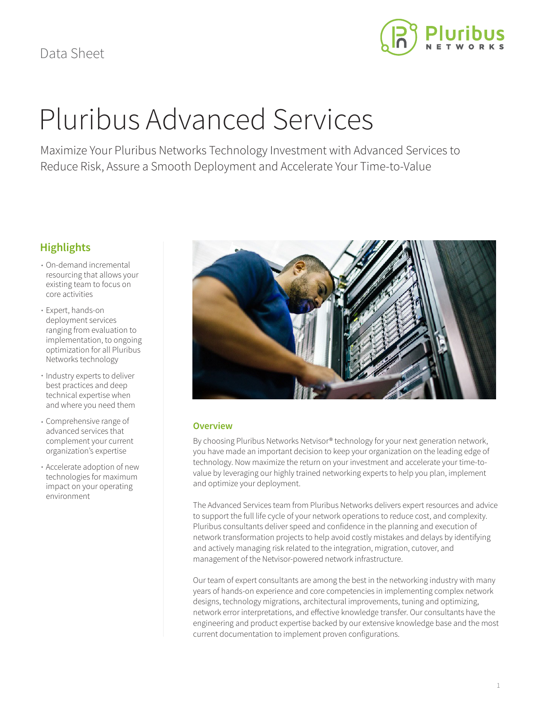

# Pluribus Advanced Services

Maximize Your Pluribus Networks Technology Investment with Advanced Services to Reduce Risk, Assure a Smooth Deployment and Accelerate Your Time-to-Value

# **Highlights**

- On-demand incremental resourcing that allows your existing team to focus on core activities
- Expert, hands-on deployment services ranging from evaluation to implementation, to ongoing optimization for all Pluribus Networks technology
- Industry experts to deliver best practices and deep technical expertise when and where you need them
- Comprehensive range of advanced services that complement your current organization's expertise
- Accelerate adoption of new technologies for maximum impact on your operating environment



# **Overview**

By choosing Pluribus Networks Netvisor® technology for your next generation network, you have made an important decision to keep your organization on the leading edge of technology. Now maximize the return on your investment and accelerate your time-tovalue by leveraging our highly trained networking experts to help you plan, implement and optimize your deployment.

The Advanced Services team from Pluribus Networks delivers expert resources and advice to support the full life cycle of your network operations to reduce cost, and complexity. Pluribus consultants deliver speed and confidence in the planning and execution of network transformation projects to help avoid costly mistakes and delays by identifying and actively managing risk related to the integration, migration, cutover, and management of the Netvisor-powered network infrastructure.

Our team of expert consultants are among the best in the networking industry with many years of hands-on experience and core competencies in implementing complex network designs, technology migrations, architectural improvements, tuning and optimizing, network error interpretations, and effective knowledge transfer. Our consultants have the engineering and product expertise backed by our extensive knowledge base and the most current documentation to implement proven configurations.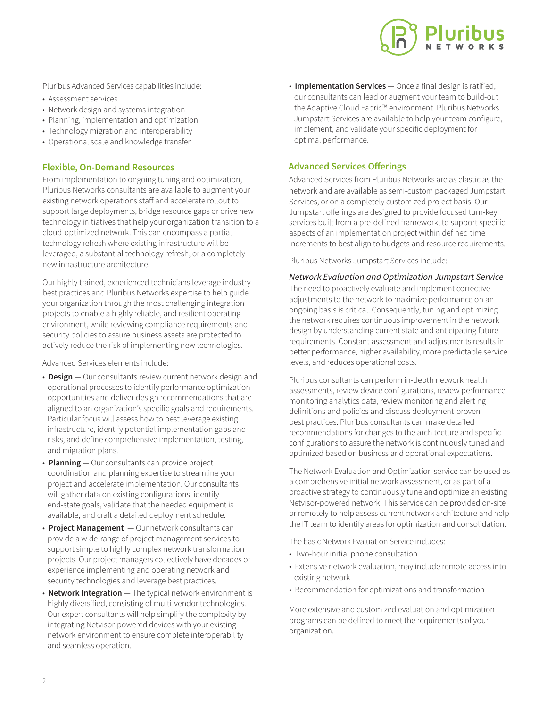

Pluribus Advanced Services capabilities include:

- Assessment services
- Network design and systems integration
- Planning, implementation and optimization
- Technology migration and interoperability
- Operational scale and knowledge transfer

### **Flexible, On-Demand Resources**

From implementation to ongoing tuning and optimization, Pluribus Networks consultants are available to augment your existing network operations staff and accelerate rollout to support large deployments, bridge resource gaps or drive new technology initiatives that help your organization transition to a cloud-optimized network. This can encompass a partial technology refresh where existing infrastructure will be leveraged, a substantial technology refresh, or a completely new infrastructure architecture.

Our highly trained, experienced technicians leverage industry best practices and Pluribus Networks expertise to help guide your organization through the most challenging integration projects to enable a highly reliable, and resilient operating environment, while reviewing compliance requirements and security policies to assure business assets are protected to actively reduce the risk of implementing new technologies.

Advanced Services elements include:

- **Design** Our consultants review current network design and operational processes to identify performance optimization opportunities and deliver design recommendations that are aligned to an organization's specific goals and requirements. Particular focus will assess how to best leverage existing infrastructure, identify potential implementation gaps and risks, and define comprehensive implementation, testing, and migration plans.
- **Planning** Our consultants can provide project coordination and planning expertise to streamline your project and accelerate implementation. Our consultants will gather data on existing configurations, identify end-state goals, validate that the needed equipment is available, and craft a detailed deployment schedule.
- **Project Management** Our network consultants can provide a wide-range of project management services to support simple to highly complex network transformation projects. Our project managers collectively have decades of experience implementing and operating network and security technologies and leverage best practices.
- **Network Integration** The typical network environment is highly diversified, consisting of multi-vendor technologies. Our expert consultants will help simplify the complexity by integrating Netvisor-powered devices with your existing network environment to ensure complete interoperability and seamless operation.

• **Implementation Services** — Once a final design is ratified, our consultants can lead or augment your team to build-out the Adaptive Cloud Fabric™ environment. Pluribus Networks Jumpstart Services are available to help your team configure, implement, and validate your specific deployment for optimal performance.

## **Advanced Services Offerings**

Advanced Services from Pluribus Networks are as elastic as the network and are available as semi-custom packaged Jumpstart Services, or on a completely customized project basis. Our Jumpstart offerings are designed to provide focused turn-key services built from a pre-defined framework, to support specific aspects of an implementation project within defined time increments to best align to budgets and resource requirements.

Pluribus Networks Jumpstart Services include:

# *Network Evaluation and Optimization Jumpstart Service*

The need to proactively evaluate and implement corrective adjustments to the network to maximize performance on an ongoing basis is critical. Consequently, tuning and optimizing the network requires continuous improvement in the network design by understanding current state and anticipating future requirements. Constant assessment and adjustments results in better performance, higher availability, more predictable service levels, and reduces operational costs.

Pluribus consultants can perform in-depth network health assessments, review device configurations, review performance monitoring analytics data, review monitoring and alerting definitions and policies and discuss deployment-proven best practices. Pluribus consultants can make detailed recommendations for changes to the architecture and specific configurations to assure the network is continuously tuned and optimized based on business and operational expectations.

The Network Evaluation and Optimization service can be used as a comprehensive initial network assessment, or as part of a proactive strategy to continuously tune and optimize an existing Netvisor-powered network. This service can be provided on-site or remotely to help assess current network architecture and help the IT team to identify areas for optimization and consolidation.

The basic Network Evaluation Service includes:

- Two-hour initial phone consultation
- Extensive network evaluation, may include remote access into existing network
- Recommendation for optimizations and transformation

More extensive and customized evaluation and optimization programs can be defined to meet the requirements of your organization.